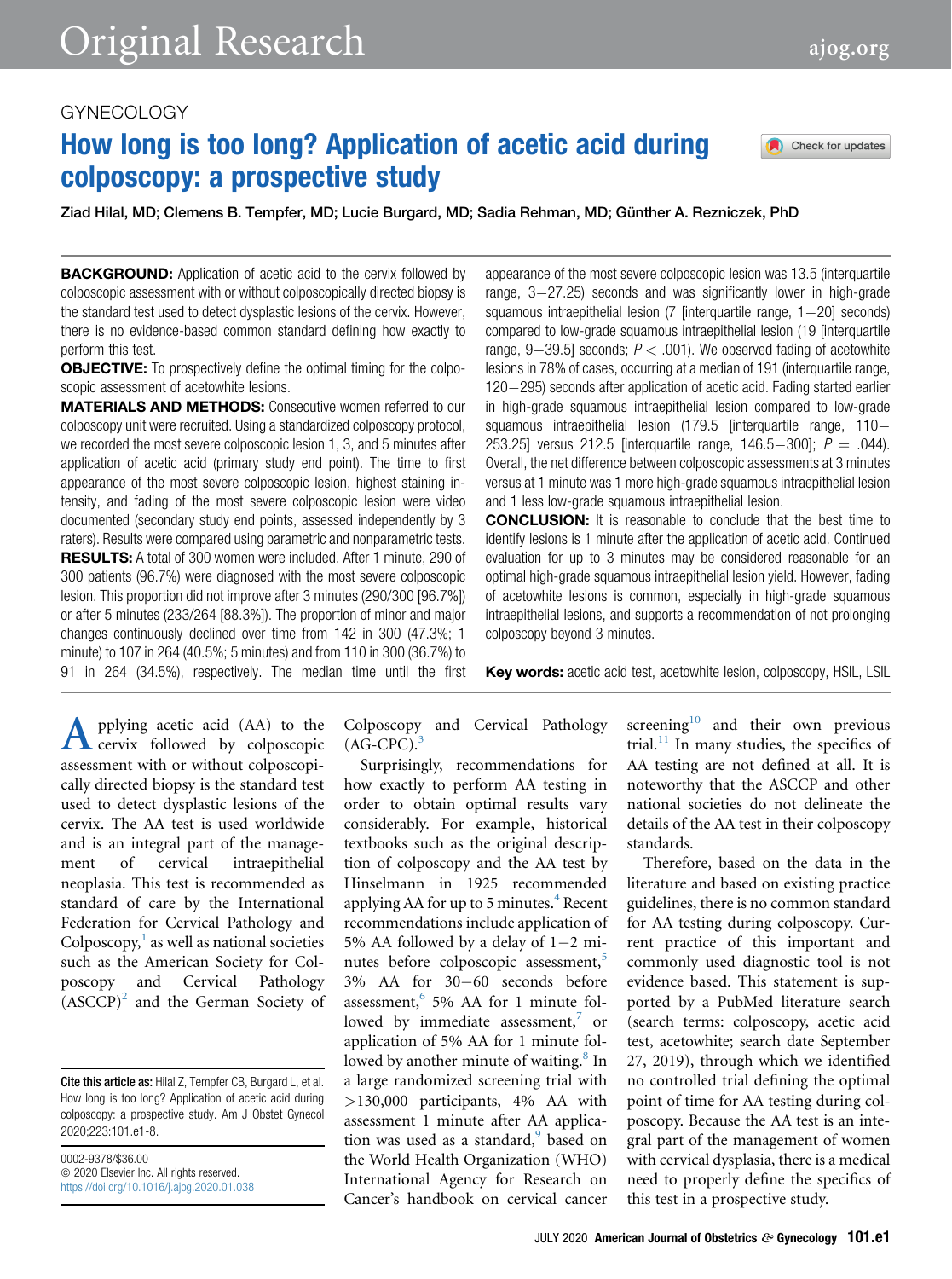# How long is too long? Application of acetic acid during colposcopy: a prospective study

Ziad Hilal, MD; Clemens B. Tempfer, MD; Lucie Burgard, MD; Sadia Rehman, MD; Günther A. Rezniczek, PhD

**BACKGROUND:** Application of acetic acid to the cervix followed by colposcopic assessment with or without colposcopically directed biopsy is the standard test used to detect dysplastic lesions of the cervix. However, there is no evidence-based common standard defining how exactly to perform this test.

**OBJECTIVE:** To prospectively define the optimal timing for the colposcopic assessment of acetowhite lesions.

MATERIALS AND METHODS: Consecutive women referred to our colposcopy unit were recruited. Using a standardized colposcopy protocol, we recorded the most severe colposcopic lesion 1, 3, and 5 minutes after application of acetic acid (primary study end point). The time to first appearance of the most severe colposcopic lesion, highest staining intensity, and fading of the most severe colposcopic lesion were video documented (secondary study end points, assessed independently by 3 raters). Results were compared using parametric and nonparametric tests. RESULTS: A total of 300 women were included. After 1 minute, 290 of 300 patients (96.7%) were diagnosed with the most severe colposcopic lesion. This proportion did not improve after 3 minutes (290/300 [96.7%]) or after 5 minutes (233/264 [88.3%]). The proportion of minor and major changes continuously declined over time from 142 in 300 (47.3%; 1 minute) to 107 in 264 (40.5%; 5 minutes) and from 110 in 300 (36.7%) to 91 in 264 (34.5%), respectively. The median time until the first appearance of the most severe colposcopic lesion was 13.5 (interquartile range,  $3-27.25$ ) seconds and was significantly lower in high-grade squamous intraepithelial lesion  $(7$  [interquartile range,  $1-20$ ] seconds) compared to low-grade squamous intraepithelial lesion (19 [interquartile range,  $9-39.5$ ] seconds;  $P < .001$ ). We observed fading of acetowhite lesions in 78% of cases, occurring at a median of 191 (interquartile range, 120-295) seconds after application of acetic acid. Fading started earlier in high-grade squamous intraepithelial lesion compared to low-grade squamous intraepithelial lesion (179.5 [interquartile range, 110-253.25] versus 212.5 [interquartile range, 146.5-300];  $P = .044$ ). Overall, the net difference between colposcopic assessments at 3 minutes versus at 1 minute was 1 more high-grade squamous intraepithelial lesion and 1 less low-grade squamous intraepithelial lesion.

CONCLUSION: It is reasonable to conclude that the best time to identify lesions is 1 minute after the application of acetic acid. Continued evaluation for up to 3 minutes may be considered reasonable for an optimal high-grade squamous intraepithelial lesion yield. However, fading of acetowhite lesions is common, especially in high-grade squamous intraepithelial lesions, and supports a recommendation of not prolonging colposcopy beyond 3 minutes.

Key words: acetic acid test, acetowhite lesion, colposcopy, HSIL, LSIL

**A** pplying acetic acid (AA) to the cervix followed by colposcopically directed biopsy is the standard test cervix followed by colposcopic assessment with or without colposcopically directed biopsy is the standard test used to detect dysplastic lesions of the cervix. The AA test is used worldwide and is an integral part of the management of cervical intraepithelial neoplasia. This test is recommended as standard of care by the International Federation for Cervical Pathology and  $Colposcopy<sup>1</sup>$  $Colposcopy<sup>1</sup>$  $Colposcopy<sup>1</sup>$  as well as national societies such as the American Society for Colposcopy and Cervical Pathology  $(ASCCP)<sup>2</sup>$  $(ASCCP)<sup>2</sup>$  $(ASCCP)<sup>2</sup>$  and the German Society of

Cite this article as: Hilal Z, Tempfer CB, Burgard L, et al. How long is too long? Application of acetic acid during colposcopy: a prospective study. Am J Obstet Gynecol 2020;223:101.e1-8.

0002-9378/\$36.00  $©$  2020 Elsevier Inc. All rights reserved. <https://doi.org/10.1016/j.ajog.2020.01.038> Colposcopy and Cervical Pathology  $(AG-CPC).$ <sup>[3](#page-6-2)</sup>

Surprisingly, recommendations for how exactly to perform AA testing in order to obtain optimal results vary considerably. For example, historical textbooks such as the original description of colposcopy and the AA test by Hinselmann in 1925 recommended applying AA for up to 5 minutes. $4$  Recent recommendations include application of 5% AA followed by a delay of  $1-2$  mi-nutes before colposcopic assessment,<sup>[5](#page-6-4)</sup>  $3\%$  AA for  $30-60$  seconds before assessment,  $6\frac{6}{9}$  $6\frac{6}{9}$  AA for 1 minute followed by immediate assessment, $\frac{7}{7}$  $\frac{7}{7}$  $\frac{7}{7}$  or application of 5% AA for 1 minute fol-lowed by another minute of waiting.<sup>[8](#page-6-7)</sup> In a large randomized screening trial with >130,000 participants, 4% AA with assessment 1 minute after AA application was used as a standard,<sup>9</sup> based on the World Health Organization (WHO) International Agency for Research on Cancer's handbook on cervical cancer

screening $10$  and their own previous trial. $^{11}$  $^{11}$  $^{11}$  In many studies, the specifics of AA testing are not defined at all. It is noteworthy that the ASCCP and other national societies do not delineate the details of the AA test in their colposcopy standards.

Therefore, based on the data in the literature and based on existing practice guidelines, there is no common standard for AA testing during colposcopy. Current practice of this important and commonly used diagnostic tool is not evidence based. This statement is supported by a PubMed literature search (search terms: colposcopy, acetic acid test, acetowhite; search date September 27, 2019), through which we identified no controlled trial defining the optimal point of time for AA testing during colposcopy. Because the AA test is an integral part of the management of women with cervical dysplasia, there is a medical need to properly define the specifics of this test in a prospective study.

Check for updates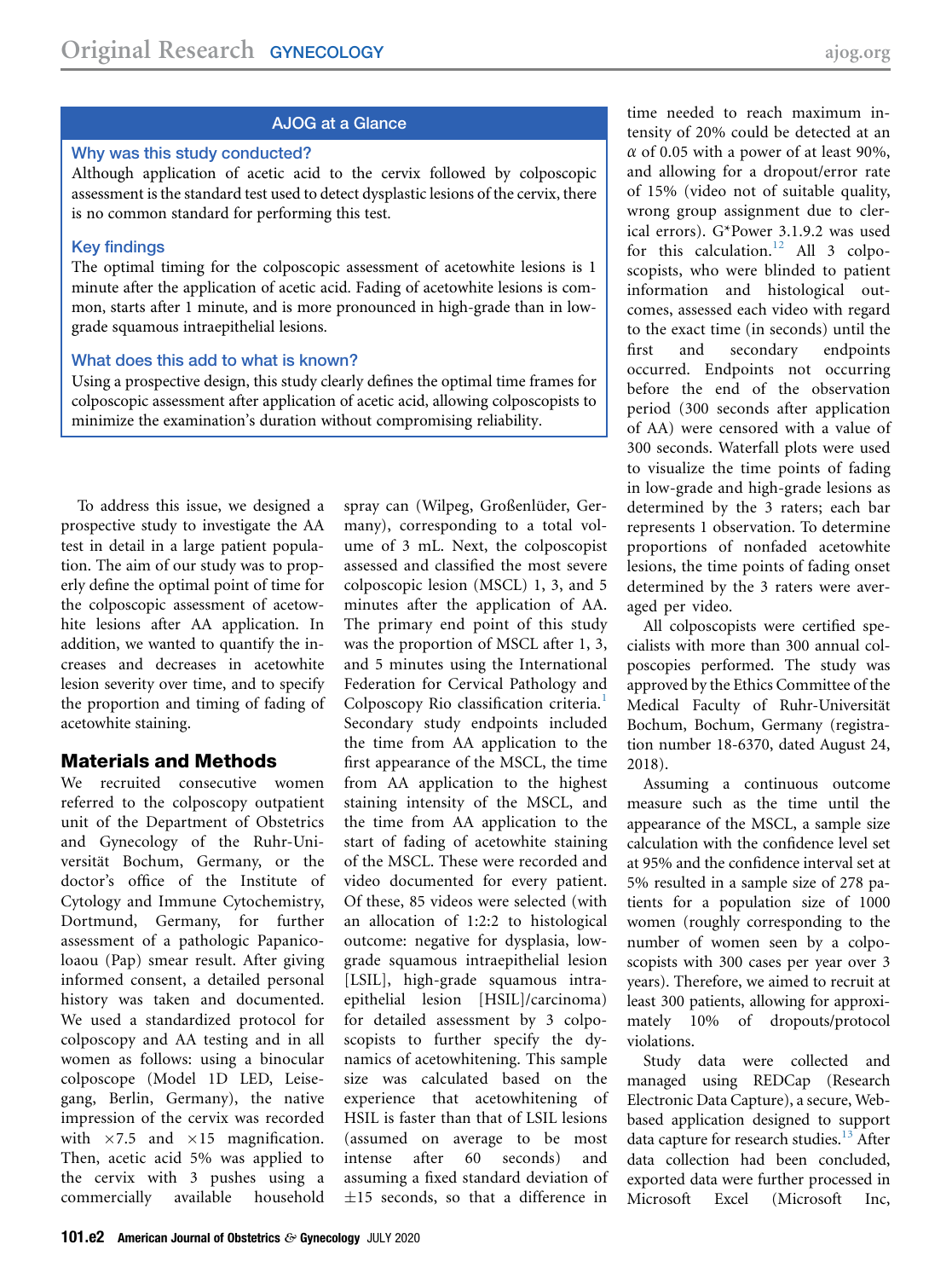# AJOG at a Glance

### Why was this study conducted?

Although application of acetic acid to the cervix followed by colposcopic assessment is the standard test used to detect dysplastic lesions of the cervix, there is no common standard for performing this test.

### Key findings

The optimal timing for the colposcopic assessment of acetowhite lesions is 1 minute after the application of acetic acid. Fading of acetowhite lesions is common, starts after 1 minute, and is more pronounced in high-grade than in lowgrade squamous intraepithelial lesions.

### What does this add to what is known?

Using a prospective design, this study clearly defines the optimal time frames for colposcopic assessment after application of acetic acid, allowing colposcopists to minimize the examination's duration without compromising reliability.

To address this issue, we designed a prospective study to investigate the AA test in detail in a large patient population. The aim of our study was to properly define the optimal point of time for the colposcopic assessment of acetowhite lesions after AA application. In addition, we wanted to quantify the increases and decreases in acetowhite lesion severity over time, and to specify the proportion and timing of fading of acetowhite staining.

### Materials and Methods

We recruited consecutive women referred to the colposcopy outpatient unit of the Department of Obstetrics and Gynecology of the Ruhr-Universität Bochum, Germany, or the doctor's office of the Institute of Cytology and Immune Cytochemistry, Dortmund, Germany, for further assessment of a pathologic Papanicoloaou (Pap) smear result. After giving informed consent, a detailed personal history was taken and documented. We used a standardized protocol for colposcopy and AA testing and in all women as follows: using a binocular colposcope (Model 1D LED, Leisegang, Berlin, Germany), the native impression of the cervix was recorded with  $\times 7.5$  and  $\times 15$  magnification. Then, acetic acid 5% was applied to the cervix with 3 pushes using a commercially available household

spray can (Wilpeg, Großenlüder, Germany), corresponding to a total volume of 3 mL. Next, the colposcopist assessed and classified the most severe colposcopic lesion (MSCL) 1, 3, and 5 minutes after the application of AA. The primary end point of this study was the proportion of MSCL after 1, 3, and 5 minutes using the International Federation for Cervical Pathology and Colposcopy Rio classification criteria.<sup>[1](#page-6-0)</sup> Secondary study endpoints included the time from AA application to the first appearance of the MSCL, the time from AA application to the highest staining intensity of the MSCL, and the time from AA application to the start of fading of acetowhite staining of the MSCL. These were recorded and video documented for every patient. Of these, 85 videos were selected (with an allocation of 1:2:2 to histological outcome: negative for dysplasia, lowgrade squamous intraepithelial lesion [LSIL], high-grade squamous intraepithelial lesion [HSIL]/carcinoma) for detailed assessment by 3 colposcopists to further specify the dynamics of acetowhitening. This sample size was calculated based on the experience that acetowhitening of HSIL is faster than that of LSIL lesions (assumed on average to be most intense after 60 seconds) and assuming a fixed standard deviation of  $\pm 15$  seconds, so that a difference in

time needed to reach maximum intensity of 20% could be detected at an  $\alpha$  of 0.05 with a power of at least 90%, and allowing for a dropout/error rate of 15% (video not of suitable quality, wrong group assignment due to clerical errors). G\*Power 3.1.9.2 was used for this calculation.<sup>[12](#page-7-0)</sup> All 3 colposcopists, who were blinded to patient information and histological outcomes, assessed each video with regard to the exact time (in seconds) until the first and secondary endpoints occurred. Endpoints not occurring before the end of the observation period (300 seconds after application of AA) were censored with a value of 300 seconds. Waterfall plots were used to visualize the time points of fading in low-grade and high-grade lesions as determined by the 3 raters; each bar represents 1 observation. To determine proportions of nonfaded acetowhite lesions, the time points of fading onset determined by the 3 raters were averaged per video.

All colposcopists were certified specialists with more than 300 annual colposcopies performed. The study was approved by the Ethics Committee of the Medical Faculty of Ruhr-Universität Bochum, Bochum, Germany (registration number 18-6370, dated August 24, 2018).

Assuming a continuous outcome measure such as the time until the appearance of the MSCL, a sample size calculation with the confidence level set at 95% and the confidence interval set at 5% resulted in a sample size of 278 patients for a population size of 1000 women (roughly corresponding to the number of women seen by a colposcopists with 300 cases per year over 3 years). Therefore, we aimed to recruit at least 300 patients, allowing for approximately 10% of dropouts/protocol violations.

Study data were collected and managed using REDCap (Research Electronic Data Capture), a secure, Webbased application designed to support data capture for research studies. $13$  After data collection had been concluded, exported data were further processed in Microsoft Excel (Microsoft Inc,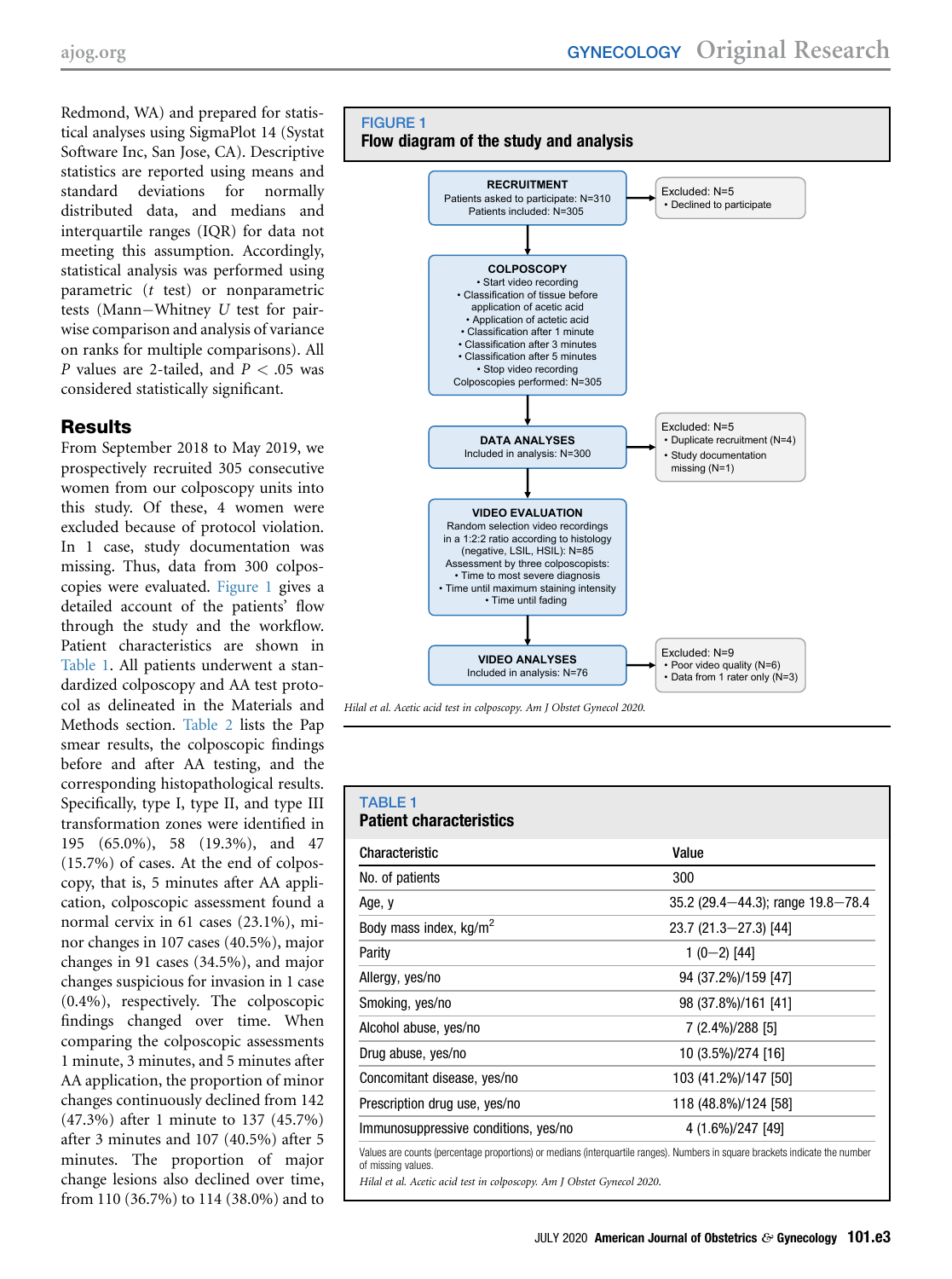Redmond, WA) and prepared for statistical analyses using SigmaPlot 14 (Systat Software Inc, San Jose, CA). Descriptive statistics are reported using means and standard deviations for normally distributed data, and medians and interquartile ranges (IQR) for data not meeting this assumption. Accordingly, statistical analysis was performed using parametric (t test) or nonparametric tests (Mann-Whitney  $U$  test for pairwise comparison and analysis of variance on ranks for multiple comparisons). All P values are 2-tailed, and  $P < .05$  was considered statistically significant.

# **Results**

From September 2018 to May 2019, we prospectively recruited 305 consecutive women from our colposcopy units into this study. Of these, 4 women were excluded because of protocol violation. In 1 case, study documentation was missing. Thus, data from 300 colposcopies were evaluated. [Figure 1](#page-2-0) gives a detailed account of the patients' flow through the study and the workflow. Patient characteristics are shown in [Table 1](#page-2-1). All patients underwent a standardized colposcopy and AA test protocol as delineated in the Materials and Methods section. [Table 2](#page-3-0) lists the Pap smear results, the colposcopic findings before and after AA testing, and the corresponding histopathological results. Specifically, type I, type II, and type III transformation zones were identified in 195 (65.0%), 58 (19.3%), and 47 (15.7%) of cases. At the end of colposcopy, that is, 5 minutes after AA application, colposcopic assessment found a normal cervix in 61 cases (23.1%), minor changes in 107 cases (40.5%), major changes in 91 cases (34.5%), and major changes suspicious for invasion in 1 case (0.4%), respectively. The colposcopic findings changed over time. When comparing the colposcopic assessments 1 minute, 3 minutes, and 5 minutes after AA application, the proportion of minor changes continuously declined from 142 (47.3%) after 1 minute to 137 (45.7%) after 3 minutes and 107 (40.5%) after 5 minutes. The proportion of major change lesions also declined over time, from 110 (36.7%) to 114 (38.0%) and to

<span id="page-2-0"></span>

Hilal et al. Acetic acid test in colposcopy. Am J Obstet Gynecol 2020.

#### <span id="page-2-1"></span>TABLE 1 Patient characteristics

# Characteristic Value No. of patients 300 Age, y 35.2 (29.4-44.3); range 19.8-78.4 Body mass index,  $\text{kg/m}^2$  23.7 (21.3–27.3) [44] Parity  $1 (0-2) [44]$ Allergy, yes/no 94 (37.2%)/159 [47] Smoking, yes/no 98 (37.8%)/161 [41] Alcohol abuse, yes/no 7 (2.4%)/288 [5] Drug abuse, yes/no 10 (3.5%)/274 [16] Concomitant disease, yes/no 103 (41.2%)/147 [50] Prescription drug use, yes/no 118 (48.8%)/124 [58] Immunosuppressive conditions, yes/no 4 (1.6%)/247 [49] Values are counts (percentage proportions) or medians (interquartile ranges). Numbers in square brackets indicate the number of missing values.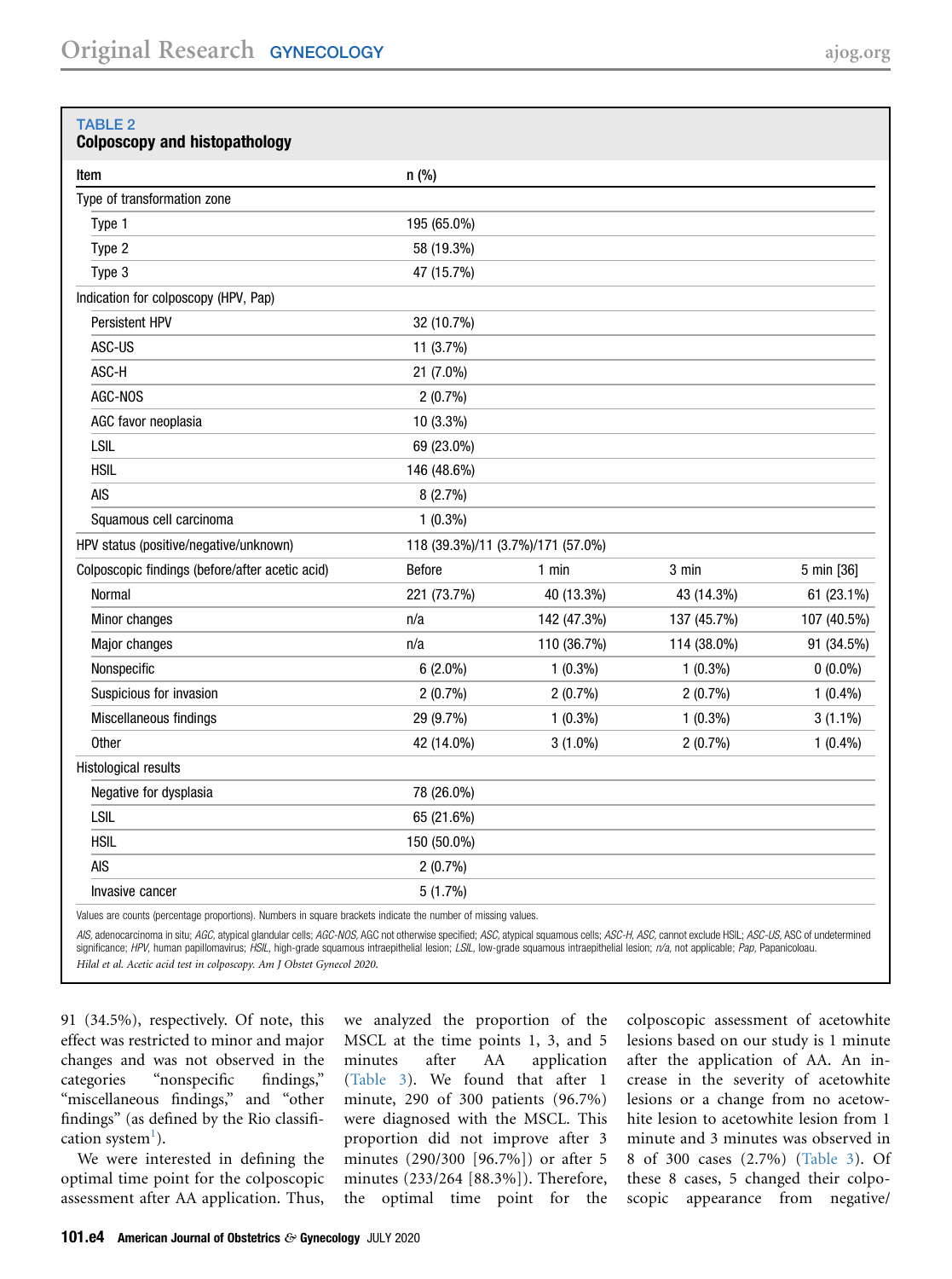<span id="page-3-0"></span>

| <b>TABLE 2</b><br><b>Colposcopy and histopathology</b>                                                       |             |                                   |             |             |
|--------------------------------------------------------------------------------------------------------------|-------------|-----------------------------------|-------------|-------------|
| Item                                                                                                         | $n$ (%)     |                                   |             |             |
| Type of transformation zone                                                                                  |             |                                   |             |             |
| Type 1                                                                                                       | 195 (65.0%) |                                   |             |             |
| Type 2                                                                                                       | 58 (19.3%)  |                                   |             |             |
| Type 3                                                                                                       | 47 (15.7%)  |                                   |             |             |
| Indication for colposcopy (HPV, Pap)                                                                         |             |                                   |             |             |
| Persistent HPV                                                                                               | 32 (10.7%)  |                                   |             |             |
| ASC-US                                                                                                       | 11 (3.7%)   |                                   |             |             |
| ASC-H                                                                                                        | 21 (7.0%)   |                                   |             |             |
| AGC-NOS                                                                                                      | $2(0.7\%)$  |                                   |             |             |
| AGC favor neoplasia                                                                                          | 10 (3.3%)   |                                   |             |             |
| LSIL                                                                                                         | 69 (23.0%)  |                                   |             |             |
| <b>HSIL</b>                                                                                                  | 146 (48.6%) |                                   |             |             |
| <b>AIS</b>                                                                                                   | 8(2.7%)     |                                   |             |             |
| Squamous cell carcinoma                                                                                      | $1(0.3\%)$  |                                   |             |             |
| HPV status (positive/negative/unknown)                                                                       |             | 118 (39.3%)/11 (3.7%)/171 (57.0%) |             |             |
| Colposcopic findings (before/after acetic acid)                                                              | Before      | $1$ min                           | 3 min       | 5 min [36]  |
| Normal                                                                                                       | 221 (73.7%) | 40 (13.3%)                        | 43 (14.3%)  | 61 (23.1%)  |
| Minor changes                                                                                                | n/a         | 142 (47.3%)                       | 137 (45.7%) | 107 (40.5%) |
| Major changes                                                                                                | n/a         | 110 (36.7%)                       | 114 (38.0%) | 91 (34.5%)  |
| Nonspecific                                                                                                  | $6(2.0\%)$  | $1(0.3\%)$                        | $1(0.3\%)$  | $0(0.0\%)$  |
| Suspicious for invasion                                                                                      | $2(0.7\%)$  | 2(0.7%)                           | 2(0.7%)     | $1(0.4\%)$  |
| Miscellaneous findings                                                                                       | 29 (9.7%)   | $1(0.3\%)$                        | $1(0.3\%)$  | $3(1.1\%)$  |
| Other                                                                                                        | 42 (14.0%)  | $3(1.0\%)$                        | $2(0.7\%)$  | $1(0.4\%)$  |
| Histological results                                                                                         |             |                                   |             |             |
| Negative for dysplasia                                                                                       | 78 (26.0%)  |                                   |             |             |
| LSIL                                                                                                         | 65 (21.6%)  |                                   |             |             |
| <b>HSIL</b>                                                                                                  | 150 (50.0%) |                                   |             |             |
| <b>AIS</b>                                                                                                   | 2(0.7%)     |                                   |             |             |
| Invasive cancer                                                                                              | 5(1.7%)     |                                   |             |             |
| Values are counts (nercentage proportions). Numbers in square brackets indicate the number of missing values |             |                                   |             |             |

Values are counts (percentage proportions). Numbers in square brackets indicate the number of missing values.

AIS, adenocarcinoma in situ; AGC, atypical glandular cells; AGC-NOS, AGC not otherwise specified; ASC, atypical squamous cells; ASC-H, ASC, cannot exclude HSIL; ASC-US, ASC of undetermined significance; HPV, human papillomavirus; HSIL, high-grade squamous intraepithelial lesion; LSIL, low-grade squamous intraepithelial lesion; n/a, not applicable; Pap, Papanicoloau. Hilal et al. Acetic acid test in colposcopy. Am J Obstet Gynecol 2020.

91 (34.5%), respectively. Of note, this effect was restricted to minor and major changes and was not observed in the categories "nonspecific findings," "miscellaneous findings," and "other findings" (as defined by the Rio classifi-cation system<sup>[1](#page-6-0)</sup>).

We were interested in defining the optimal time point for the colposcopic assessment after AA application. Thus,

we analyzed the proportion of the MSCL at the time points 1, 3, and 5 minutes after AA application ([Table 3](#page-4-0)). We found that after 1 minute, 290 of 300 patients (96.7%) were diagnosed with the MSCL. This proportion did not improve after 3 minutes (290/300 [96.7%]) or after 5 minutes (233/264 [88.3%]). Therefore, the optimal time point for the colposcopic assessment of acetowhite lesions based on our study is 1 minute after the application of AA. An increase in the severity of acetowhite lesions or a change from no acetowhite lesion to acetowhite lesion from 1 minute and 3 minutes was observed in 8 of 300 cases (2.7%) [\(Table 3](#page-4-0)). Of these 8 cases, 5 changed their colposcopic appearance from negative/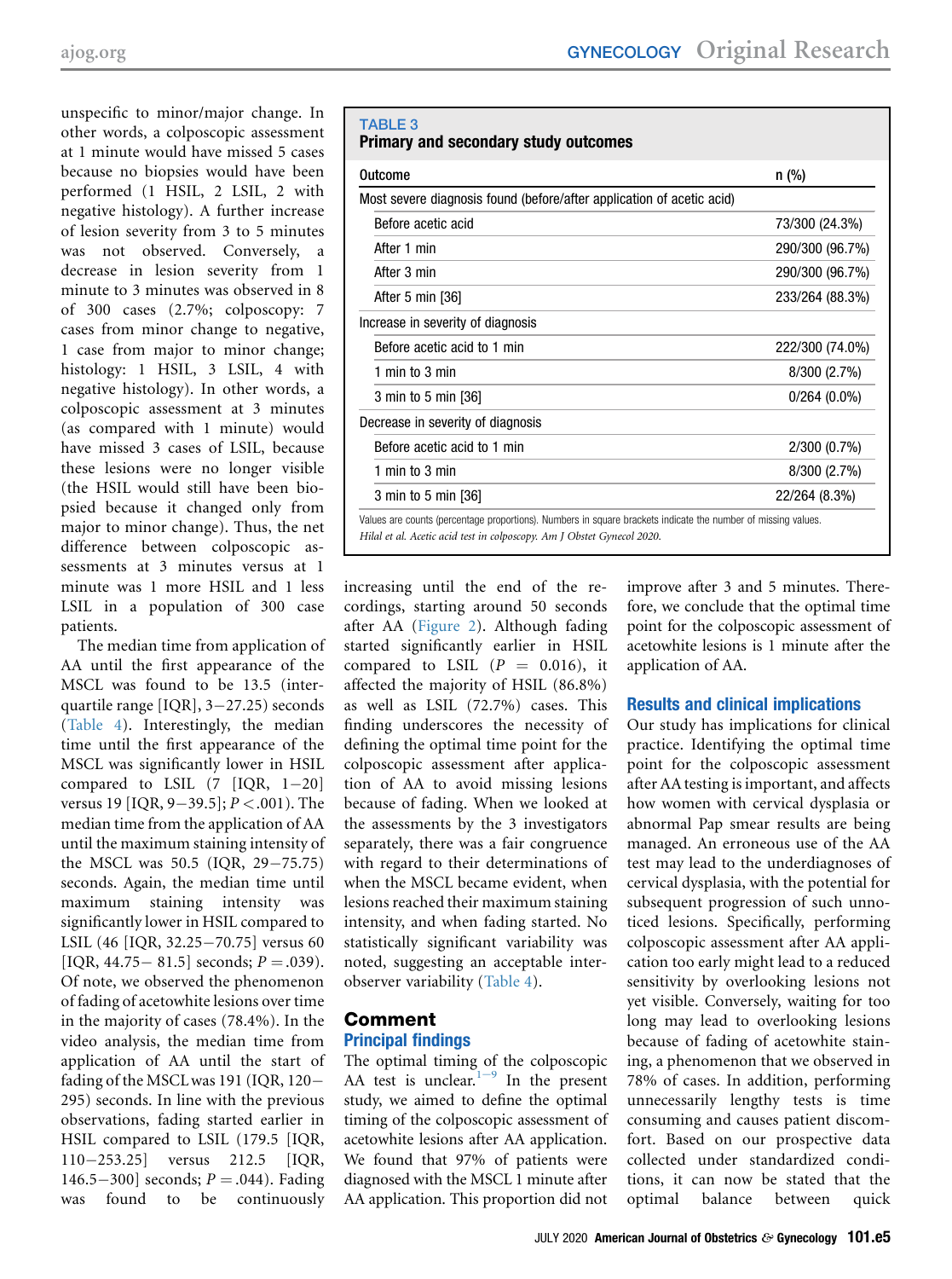unspecific to minor/major change. In other words, a colposcopic assessment at 1 minute would have missed 5 cases because no biopsies would have been performed (1 HSIL, 2 LSIL, 2 with negative histology). A further increase of lesion severity from 3 to 5 minutes was not observed. Conversely, a decrease in lesion severity from 1 minute to 3 minutes was observed in 8 of 300 cases (2.7%; colposcopy: 7 cases from minor change to negative, 1 case from major to minor change; histology: 1 HSIL, 3 LSIL, 4 with negative histology). In other words, a colposcopic assessment at 3 minutes (as compared with 1 minute) would have missed 3 cases of LSIL, because these lesions were no longer visible (the HSIL would still have been biopsied because it changed only from major to minor change). Thus, the net difference between colposcopic assessments at 3 minutes versus at 1 minute was 1 more HSIL and 1 less LSIL in a population of 300 case patients.

The median time from application of AA until the first appearance of the MSCL was found to be 13.5 (interquartile range  $[IQR]$ , 3-27.25) seconds ([Table 4\)](#page-5-0). Interestingly, the median time until the first appearance of the MSCL was significantly lower in HSIL compared to LSIL  $(7 \text{IQR}, 1-20)$ versus 19 [IQR, 9-39.5];  $P < .001$ ). The median time from the application of AA until the maximum staining intensity of the MSCL was  $50.5$  (IQR,  $29-75.75$ ) seconds. Again, the median time until maximum staining intensity was significantly lower in HSIL compared to LSIL (46 [IQR, 32.25-70.75] versus 60 [IQR, 44.75 - 81.5] seconds;  $P = .039$ ). Of note, we observed the phenomenon of fading of acetowhite lesions over time in the majority of cases (78.4%). In the video analysis, the median time from application of AA until the start of fading of the MSCLwas 191 (IQR, 120 295) seconds. In line with the previous observations, fading started earlier in HSIL compared to LSIL (179.5 [IQR, 110253.25] versus 212.5 [IQR, 146.5-300] seconds;  $P = .044$ ). Fading<br>was found to be continuously found to be continuously

### <span id="page-4-0"></span>TABLE 3 Primary and secondary study outcomes

| Outcome                                                               | $n$ (%)         |
|-----------------------------------------------------------------------|-----------------|
| Most severe diagnosis found (before/after application of acetic acid) |                 |
| Before acetic acid                                                    | 73/300 (24.3%)  |
| After 1 min                                                           | 290/300 (96.7%) |
| After 3 min                                                           | 290/300 (96.7%) |
| After 5 min [36]                                                      | 233/264 (88.3%) |
| Increase in severity of diagnosis                                     |                 |
| Before acetic acid to 1 min                                           | 222/300 (74.0%) |
| 1 min to 3 min                                                        | 8/300(2.7%)     |
| 3 min to 5 min [36]                                                   | $0/264(0.0\%)$  |
| Decrease in severity of diagnosis                                     |                 |
| Before acetic acid to 1 min                                           | 2/300(0.7%)     |
| 1 min to 3 min                                                        | 8/300 (2.7%)    |
| 3 min to 5 min [36]                                                   | 22/264 (8.3%)   |

increasing until the end of the recordings, starting around 50 seconds after AA ([Figure 2](#page-6-11)). Although fading started significantly earlier in HSIL compared to LSIL  $(P = 0.016)$ , it affected the majority of HSIL (86.8%) as well as LSIL (72.7%) cases. This finding underscores the necessity of defining the optimal time point for the colposcopic assessment after application of AA to avoid missing lesions because of fading. When we looked at the assessments by the 3 investigators separately, there was a fair congruence with regard to their determinations of when the MSCL became evident, when lesions reached their maximum staining intensity, and when fading started. No statistically significant variability was noted, suggesting an acceptable interobserver variability ([Table 4](#page-5-0)).

# Comment Principal findings

The optimal timing of the colposcopic AA t[e](#page-6-0)st is unclear. $1^{1-9}$  In the present study, we aimed to define the optimal timing of the colposcopic assessment of acetowhite lesions after AA application. We found that 97% of patients were diagnosed with the MSCL 1 minute after AA application. This proportion did not

improve after 3 and 5 minutes. Therefore, we conclude that the optimal time point for the colposcopic assessment of acetowhite lesions is 1 minute after the application of AA.

# Results and clinical implications

Our study has implications for clinical practice. Identifying the optimal time point for the colposcopic assessment after AA testing is important, and affects how women with cervical dysplasia or abnormal Pap smear results are being managed. An erroneous use of the AA test may lead to the underdiagnoses of cervical dysplasia, with the potential for subsequent progression of such unnoticed lesions. Specifically, performing colposcopic assessment after AA application too early might lead to a reduced sensitivity by overlooking lesions not yet visible. Conversely, waiting for too long may lead to overlooking lesions because of fading of acetowhite staining, a phenomenon that we observed in 78% of cases. In addition, performing unnecessarily lengthy tests is time consuming and causes patient discomfort. Based on our prospective data collected under standardized conditions, it can now be stated that the optimal balance between quick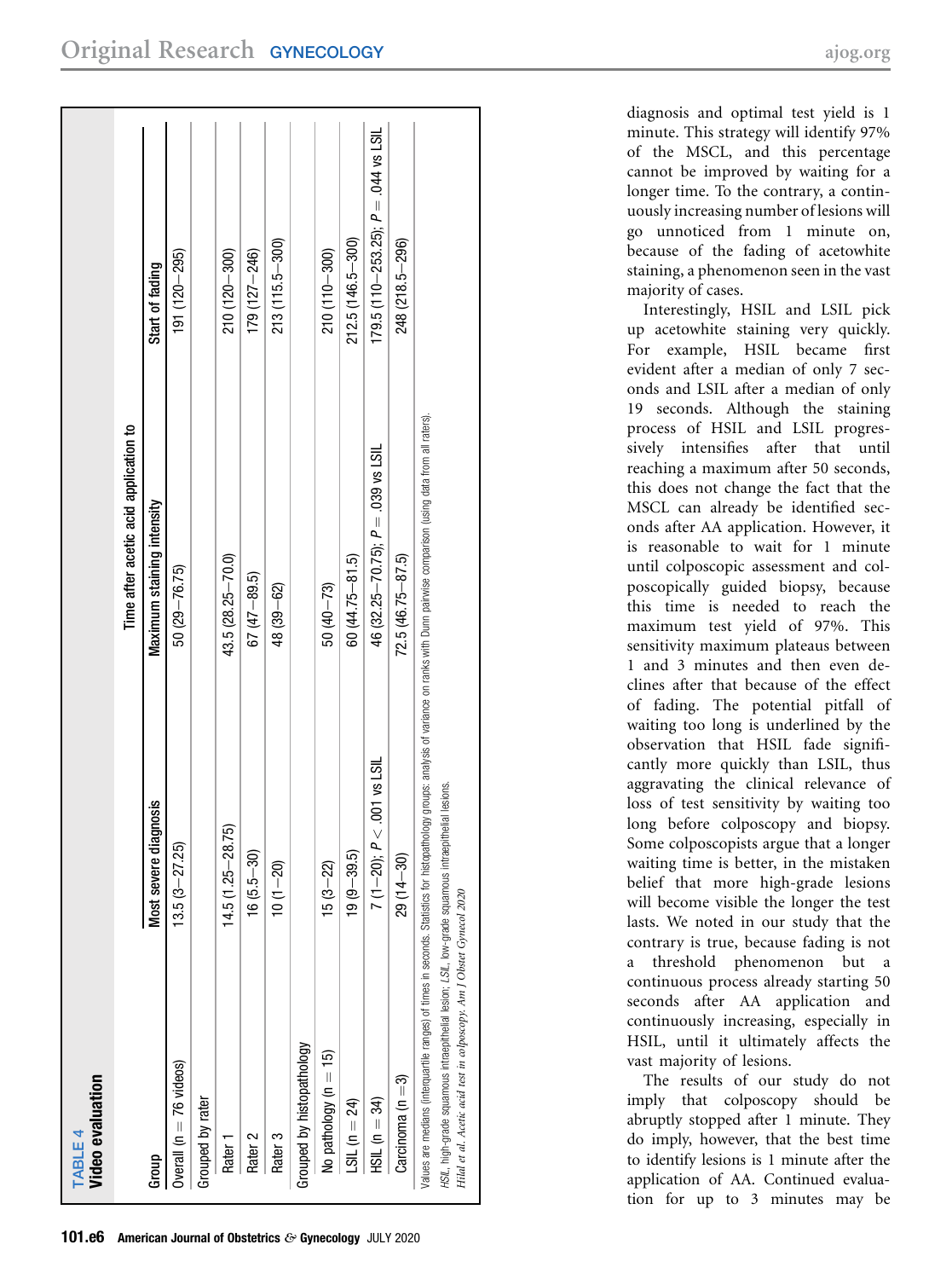<span id="page-5-0"></span>

| <b>Video evaluation</b><br>TABLE 4                                                                                                                                           |                             |                                                                                                                                                                                                |                                          |
|------------------------------------------------------------------------------------------------------------------------------------------------------------------------------|-----------------------------|------------------------------------------------------------------------------------------------------------------------------------------------------------------------------------------------|------------------------------------------|
|                                                                                                                                                                              |                             | Time after acetic acid application to                                                                                                                                                          |                                          |
| Group                                                                                                                                                                        | diagnosis<br>Most severe    | Maximum staining intensity                                                                                                                                                                     | Start of fading                          |
| Overall ( $n = 76$ videos)                                                                                                                                                   | $13.5(3-27.25)$             | $50(29 - 76.75)$                                                                                                                                                                               | $191(120 - 295)$                         |
| Grouped by rater                                                                                                                                                             |                             |                                                                                                                                                                                                |                                          |
| Rater <sub>1</sub>                                                                                                                                                           | $14.5(1.25 - 28.75)$        | $43.5(28.25 - 70.0)$                                                                                                                                                                           | 210 (120 - 300)                          |
| Rater 2                                                                                                                                                                      | $16(5.5 - 30)$              | $67(47 - 89.5)$                                                                                                                                                                                | $179(127 - 246)$                         |
| Rater 3                                                                                                                                                                      | $10(1 - 20)$                | 48 (39 - 62)                                                                                                                                                                                   | $213(115.5 - 300)$                       |
| Grouped by histopathology                                                                                                                                                    |                             |                                                                                                                                                                                                |                                          |
| No pathology ( $n = 15$ )                                                                                                                                                    | $15(3-22)$                  | $50(40 - 73)$                                                                                                                                                                                  | 210 (110-300)                            |
| LSIL ( $n = 24$ )                                                                                                                                                            | $19(9 - 39.5$               | $60(44.75 - 81.5)$                                                                                                                                                                             | $212.5(146.5 - 300)$                     |
| $HSIL (n = 34)$                                                                                                                                                              | 7 (1-20); $P < 001$ vs LSIL | 46 $(32.25 - 70.75)$ ; $P = 0.039$ vs LSIL                                                                                                                                                     | 179.5 (110 - 253.25); $P = .044$ vs LSIL |
| $Carcinoma (n = 3)$                                                                                                                                                          | $29(14 - 30)$               | $72.5(46.75 - 87.5)$                                                                                                                                                                           | 248 (218.5-296)                          |
| HSIL, high-grade squamous intraepithelial lesion; LSIL, low-grade squamous intraepithelial lesions.<br>Hilal et al. Acetic acid test in colposcopy. Am J Obstet Gynecol 2020 |                             | Values are medians (interquartile ranges) of times in seconds. Statistics for histopathology groups: analysis of variance on ranks with Dunn pairwise comparison (using data from all raters). |                                          |

diagnosis and optimal test yield is 1 minute. This strategy will identify 97% of the MSCL, and this percentage cannot be improved by waiting for a longer time. To the contrary, a continuously increasing number of lesions will go unnoticed from 1 minute on, because of the fading of acetowhite staining, a phenomenon seen in the vast majority of cases.

Interestingly, HSIL and LSIL pick up acetowhite staining very quickly. For example, HSIL became first evident after a median of only 7 seconds and LSIL after a median of only 19 seconds. Although the staining process of HSIL and LSIL progressively intensifies after that until reaching a maximum after 50 seconds, this does not change the fact that the MSCL can already be identi fied seconds after AA application. However, it is reasonable to wait for 1 minute until colposcopic assessment and colposcopically guided biopsy, because this time is needed to reach the maximum test yield of 97%. This sensitivity maximum plateaus between 1 and 3 minutes and then even declines after that because of the effect of fading. The potential pitfall of waiting too long is underlined by the observation that HSIL fade significantly more quickly than LSIL, thus aggravating the clinical relevance of loss of test sensitivity by waiting too long before colposcopy and biopsy. Some colposcopists argue that a longer waiting time is better, in the mistaken belief that more high-grade lesions will become visible the longer the test lasts. We noted in our study that the contrary is true, because fading is not a threshold phenomenon but a continuous process already starting 50 seconds after AA application and continuously increasing, especially in HSIL, until it ultimately affects the vast majority of lesions.

The results of our study do not imply that colposcopy should be abruptly stopped after 1 minute. They do imply, however, that the best time to identify lesions is 1 minute after the application of AA. Continued evaluation for up to 3 minutes may be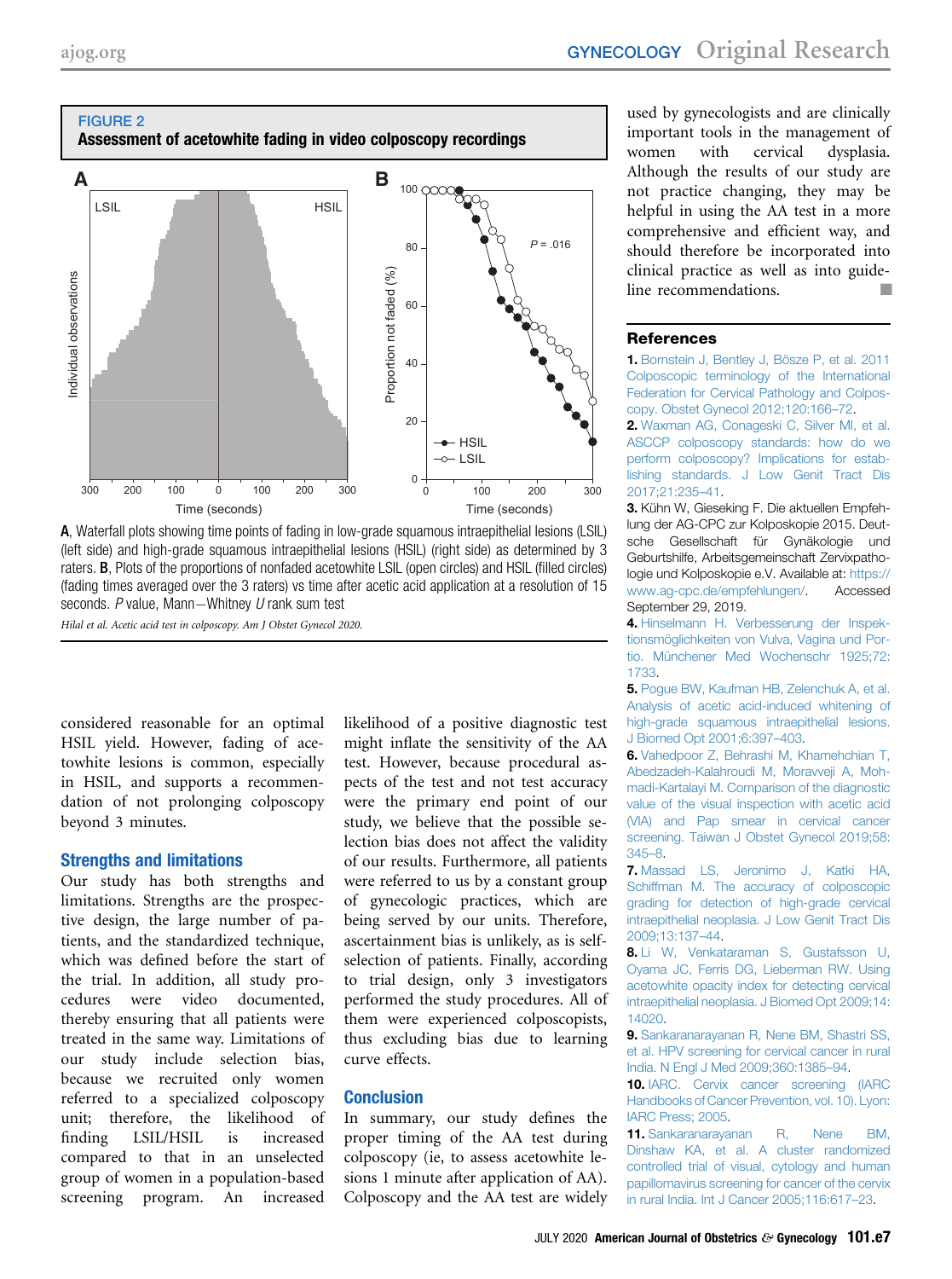<span id="page-6-11"></span>

A, Waterfall plots showing time points of fading in low-grade squamous intraepithelial lesions (LSIL) (left side) and high-grade squamous intraepithelial lesions (HSIL) (right side) as determined by 3 raters. B, Plots of the proportions of nonfaded acetowhite LSIL (open circles) and HSIL (filled circles) (fading times averaged over the 3 raters) vs time after acetic acid application at a resolution of 15 seconds.  $P$  value, Mann-Whitney  $U$  rank sum test Hilal et al. Acetic acid test in colposcopy. Am J Obstet Gynecol 2020.

considered reasonable for an optimal HSIL yield. However, fading of acetowhite lesions is common, especially in HSIL, and supports a recommen-

dation of not prolonging colposcopy

### Strengths and limitations

beyond 3 minutes.

Our study has both strengths and limitations. Strengths are the prospective design, the large number of patients, and the standardized technique, which was defined before the start of the trial. In addition, all study procedures were video documented, thereby ensuring that all patients were treated in the same way. Limitations of our study include selection bias, because we recruited only women referred to a specialized colposcopy unit; therefore, the likelihood of finding LSIL/HSIL is increased compared to that in an unselected group of women in a population-based screening program. An increased

likelihood of a positive diagnostic test might inflate the sensitivity of the AA test. However, because procedural aspects of the test and not test accuracy were the primary end point of our study, we believe that the possible selection bias does not affect the validity of our results. Furthermore, all patients were referred to us by a constant group of gynecologic practices, which are being served by our units. Therefore, ascertainment bias is unlikely, as is selfselection of patients. Finally, according to trial design, only 3 investigators performed the study procedures. All of them were experienced colposcopists, thus excluding bias due to learning curve effects.

### **Conclusion**

In summary, our study defines the proper timing of the AA test during colposcopy (ie, to assess acetowhite lesions 1 minute after application of AA). Colposcopy and the AA test are widely

used by gynecologists and are clinically important tools in the management of women with cervical dysplasia. Although the results of our study are not practice changing, they may be helpful in using the AA test in a more comprehensive and efficient way, and should therefore be incorporated into clinical practice as well as into guideline recommendations.

### <span id="page-6-0"></span>**References**

1. [Bornstein J, Bentley J, Bösze P, et al. 2011](http://refhub.elsevier.com/S0002-9378(20)30059-4/sref1) [Colposcopic terminology of the International](http://refhub.elsevier.com/S0002-9378(20)30059-4/sref1) [Federation for Cervical Pathology and Colpos](http://refhub.elsevier.com/S0002-9378(20)30059-4/sref1)[copy. Obstet Gynecol 2012;120:166](http://refhub.elsevier.com/S0002-9378(20)30059-4/sref1)–72.

<span id="page-6-1"></span>2. [Waxman AG, Conageski C, Silver MI, et al.](http://refhub.elsevier.com/S0002-9378(20)30059-4/sref2) [ASCCP colposcopy standards: how do we](http://refhub.elsevier.com/S0002-9378(20)30059-4/sref2) [perform colposcopy? Implications for estab](http://refhub.elsevier.com/S0002-9378(20)30059-4/sref2)[lishing standards. J Low Genit Tract Dis](http://refhub.elsevier.com/S0002-9378(20)30059-4/sref2) [2017;21:235](http://refhub.elsevier.com/S0002-9378(20)30059-4/sref2)–41.

<span id="page-6-2"></span>3. Kühn W, Gieseking F. Die aktuellen Empfehlung der AG-CPC zur Kolposkopie 2015. Deutsche Gesellschaft für Gynäkologie und Geburtshilfe, Arbeitsgemeinschaft Zervixpathologie und Kolposkopie e.V. Available at: [https://](https://www.ag-cpc.de/empfehlungen/) [www.ag-cpc.de/empfehlungen/](https://www.ag-cpc.de/empfehlungen/). Accessed September 29, 2019.

<span id="page-6-3"></span>4. [Hinselmann H. Verbesserung der Inspek](http://refhub.elsevier.com/S0002-9378(20)30059-4/sref4)[tionsmöglichkeiten von Vulva, Vagina und Por](http://refhub.elsevier.com/S0002-9378(20)30059-4/sref4)[tio. Münchener Med Wochenschr 1925;72:](http://refhub.elsevier.com/S0002-9378(20)30059-4/sref4) [1733](http://refhub.elsevier.com/S0002-9378(20)30059-4/sref4).

<span id="page-6-4"></span>5. [Pogue BW, Kaufman HB, Zelenchuk A, et al.](http://refhub.elsevier.com/S0002-9378(20)30059-4/sref5) [Analysis of acetic acid-induced whitening of](http://refhub.elsevier.com/S0002-9378(20)30059-4/sref5) [high-grade squamous intraepithelial lesions.](http://refhub.elsevier.com/S0002-9378(20)30059-4/sref5) [J Biomed Opt 2001;6:397](http://refhub.elsevier.com/S0002-9378(20)30059-4/sref5)–403.

<span id="page-6-5"></span>6. [Vahedpoor Z, Behrashi M, Khamehchian T,](http://refhub.elsevier.com/S0002-9378(20)30059-4/sref6) [Abedzadeh-Kalahroudi M, Moravveji A, Moh](http://refhub.elsevier.com/S0002-9378(20)30059-4/sref6)[madi-Kartalayi M. Comparison of the diagnostic](http://refhub.elsevier.com/S0002-9378(20)30059-4/sref6) [value of the visual inspection with acetic acid](http://refhub.elsevier.com/S0002-9378(20)30059-4/sref6) [\(VIA\) and Pap smear in cervical cancer](http://refhub.elsevier.com/S0002-9378(20)30059-4/sref6) [screening. Taiwan J Obstet Gynecol 2019;58:](http://refhub.elsevier.com/S0002-9378(20)30059-4/sref6) [345](http://refhub.elsevier.com/S0002-9378(20)30059-4/sref6)–8.

<span id="page-6-6"></span>7. [Massad LS, Jeronimo J, Katki HA,](http://refhub.elsevier.com/S0002-9378(20)30059-4/sref7) [Schiffman M. The accuracy of colposcopic](http://refhub.elsevier.com/S0002-9378(20)30059-4/sref7) [grading for detection of high-grade cervical](http://refhub.elsevier.com/S0002-9378(20)30059-4/sref7) [intraepithelial neoplasia. J Low Genit Tract Dis](http://refhub.elsevier.com/S0002-9378(20)30059-4/sref7) [2009;13:137](http://refhub.elsevier.com/S0002-9378(20)30059-4/sref7)–44.

<span id="page-6-7"></span>8. [Li W, Venkataraman S, Gustafsson U,](http://refhub.elsevier.com/S0002-9378(20)30059-4/sref8) [Oyama JC, Ferris DG, Lieberman RW. Using](http://refhub.elsevier.com/S0002-9378(20)30059-4/sref8) [acetowhite opacity index for detecting cervical](http://refhub.elsevier.com/S0002-9378(20)30059-4/sref8) [intraepithelial neoplasia. J Biomed Opt 2009;14:](http://refhub.elsevier.com/S0002-9378(20)30059-4/sref8) [14020](http://refhub.elsevier.com/S0002-9378(20)30059-4/sref8).

<span id="page-6-8"></span>9. [Sankaranarayanan R, Nene BM, Shastri SS,](http://refhub.elsevier.com/S0002-9378(20)30059-4/sref9) [et al. HPV screening for cervical cancer in rural](http://refhub.elsevier.com/S0002-9378(20)30059-4/sref9) [India. N Engl J Med 2009;360:1385](http://refhub.elsevier.com/S0002-9378(20)30059-4/sref9)–94.

<span id="page-6-9"></span>10. [IARC. Cervix cancer screening \(IARC](http://refhub.elsevier.com/S0002-9378(20)30059-4/sref10) [Handbooks of Cancer Prevention, vol. 10\). Lyon:](http://refhub.elsevier.com/S0002-9378(20)30059-4/sref10) [IARC Press; 2005](http://refhub.elsevier.com/S0002-9378(20)30059-4/sref10).

<span id="page-6-10"></span>11. [Sankaranarayanan R, Nene BM,](http://refhub.elsevier.com/S0002-9378(20)30059-4/sref11) [Dinshaw KA, et al. A cluster randomized](http://refhub.elsevier.com/S0002-9378(20)30059-4/sref11) [controlled trial of visual, cytology and human](http://refhub.elsevier.com/S0002-9378(20)30059-4/sref11) [papillomavirus screening for cancer of the cervix](http://refhub.elsevier.com/S0002-9378(20)30059-4/sref11) [in rural India. Int J Cancer 2005;116:617](http://refhub.elsevier.com/S0002-9378(20)30059-4/sref11)–23.